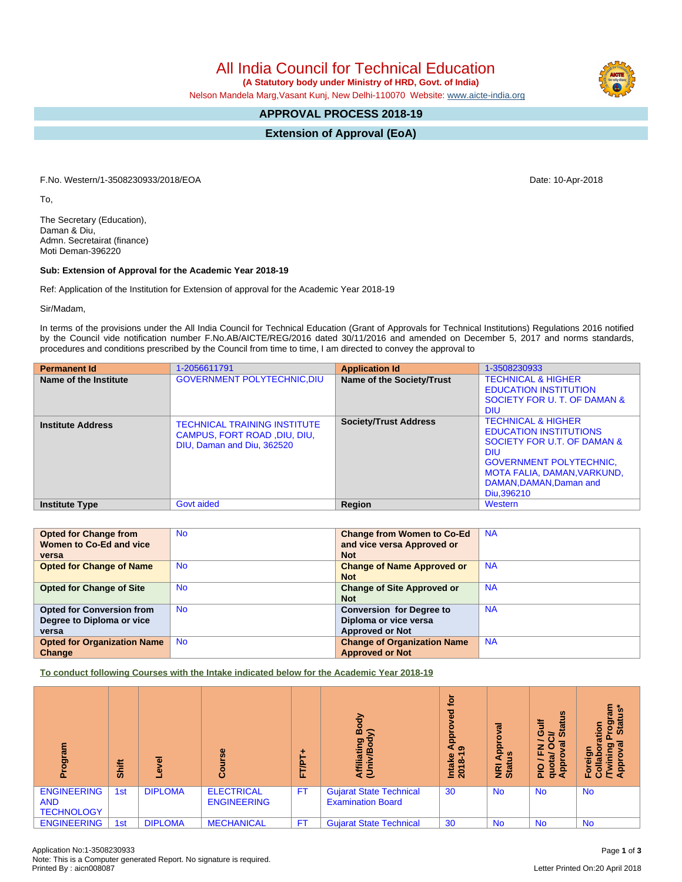All India Council for Technical Education  **(A Statutory body under Ministry of HRD, Govt. of India)**

Nelson Mandela Marg,Vasant Kunj, New Delhi-110070 Website: [www.aicte-india.org](http://www.aicte-india.org)

## **APPROVAL PROCESS 2018-19**

**Extension of Approval (EoA)**

F.No. Western/1-3508230933/2018/EOA Date: 10-Apr-2018

To,

The Secretary (Education), Daman & Diu, Admn. Secretairat (finance) Moti Deman-396220

## **Sub: Extension of Approval for the Academic Year 2018-19**

Ref: Application of the Institution for Extension of approval for the Academic Year 2018-19

Sir/Madam,

In terms of the provisions under the All India Council for Technical Education (Grant of Approvals for Technical Institutions) Regulations 2016 notified by the Council vide notification number F.No.AB/AICTE/REG/2016 dated 30/11/2016 and amended on December 5, 2017 and norms standards, procedures and conditions prescribed by the Council from time to time, I am directed to convey the approval to

| <b>Permanent Id</b>      | 1-2056611791                                                                                      | <b>Application Id</b>        | 1-3508230933                                                                                                                                                                                                          |
|--------------------------|---------------------------------------------------------------------------------------------------|------------------------------|-----------------------------------------------------------------------------------------------------------------------------------------------------------------------------------------------------------------------|
| Name of the Institute    | <b>GOVERNMENT POLYTECHNIC, DIU</b>                                                                | Name of the Society/Trust    | <b>TECHNICAL &amp; HIGHER</b><br><b>EDUCATION INSTITUTION</b><br>SOCIETY FOR U. T. OF DAMAN &<br><b>DIU</b>                                                                                                           |
| <b>Institute Address</b> | <b>TECHNICAL TRAINING INSTITUTE</b><br>CAMPUS, FORT ROAD, DIU, DIU,<br>DIU, Daman and Diu, 362520 | <b>Society/Trust Address</b> | <b>TECHNICAL &amp; HIGHER</b><br><b>EDUCATION INSTITUTIONS</b><br>SOCIETY FOR U.T. OF DAMAN &<br><b>DIU</b><br><b>GOVERNMENT POLYTECHNIC,</b><br>MOTA FALIA, DAMAN, VARKUND,<br>DAMAN, DAMAN, Daman and<br>Diu.396210 |
| <b>Institute Type</b>    | Govt aided                                                                                        | Region                       | Western                                                                                                                                                                                                               |

| <b>Opted for Change from</b>       | <b>No</b> | <b>Change from Women to Co-Ed</b>  | <b>NA</b> |
|------------------------------------|-----------|------------------------------------|-----------|
| Women to Co-Ed and vice            |           | and vice versa Approved or         |           |
| versa                              |           | <b>Not</b>                         |           |
| <b>Opted for Change of Name</b>    | <b>No</b> | <b>Change of Name Approved or</b>  | <b>NA</b> |
|                                    |           | <b>Not</b>                         |           |
| <b>Opted for Change of Site</b>    | <b>No</b> | <b>Change of Site Approved or</b>  | <b>NA</b> |
|                                    |           | <b>Not</b>                         |           |
| <b>Opted for Conversion from</b>   | <b>No</b> | <b>Conversion for Degree to</b>    | <b>NA</b> |
| Degree to Diploma or vice          |           | Diploma or vice versa              |           |
| versa                              |           | <b>Approved or Not</b>             |           |
| <b>Opted for Organization Name</b> | <b>No</b> | <b>Change of Organization Name</b> | <b>NA</b> |
| Change                             |           | <b>Approved or Not</b>             |           |

**To conduct following Courses with the Intake indicated below for the Academic Year 2018-19**

| me.no.                                                | Shift | Φ<br>ω         | Φ                                       | TAL<br>iı. | Body<br>⋦<br>Affiliating<br>(Univ/Bod <sup>,</sup>         | <u>ة</u><br>ठ<br>õ<br><u>a</u> qA<br>െ<br>Intake<br>2018-1 | σ<br>윤<br>9<br>⋖<br>NRI<br>Stat | $\boldsymbol{\omega}$<br><b>Status</b><br><b>Jin</b><br>≃<br>œ<br>z<br>c<br>ц.<br>ৱ<br><b>Appro</b><br>g<br>$\frac{1}{2}$<br>$\sigma$ | me.<br>$\ddot{a}$<br>តូ<br>ខ<br>Star<br>ation<br>$\sigma$<br>ටා<br>ក<br>o.<br>Foreig<br>Collal<br><b>AP</b> |
|-------------------------------------------------------|-------|----------------|-----------------------------------------|------------|------------------------------------------------------------|------------------------------------------------------------|---------------------------------|---------------------------------------------------------------------------------------------------------------------------------------|-------------------------------------------------------------------------------------------------------------|
| <b>ENGINEERING</b><br><b>AND</b><br><b>TECHNOLOGY</b> | 1st   | <b>DIPLOMA</b> | <b>ELECTRICAL</b><br><b>ENGINEERING</b> | <b>FT</b>  | <b>Gujarat State Technical</b><br><b>Examination Board</b> | 30                                                         | <b>No</b>                       | <b>No</b>                                                                                                                             | <b>No</b>                                                                                                   |
| <b>ENGINEERING</b>                                    | 1st   | <b>DIPLOMA</b> | <b>MECHANICAL</b>                       | FT.        | <b>Gujarat State Technical</b>                             | 30                                                         | <b>No</b>                       | <b>No</b>                                                                                                                             | <b>No</b>                                                                                                   |

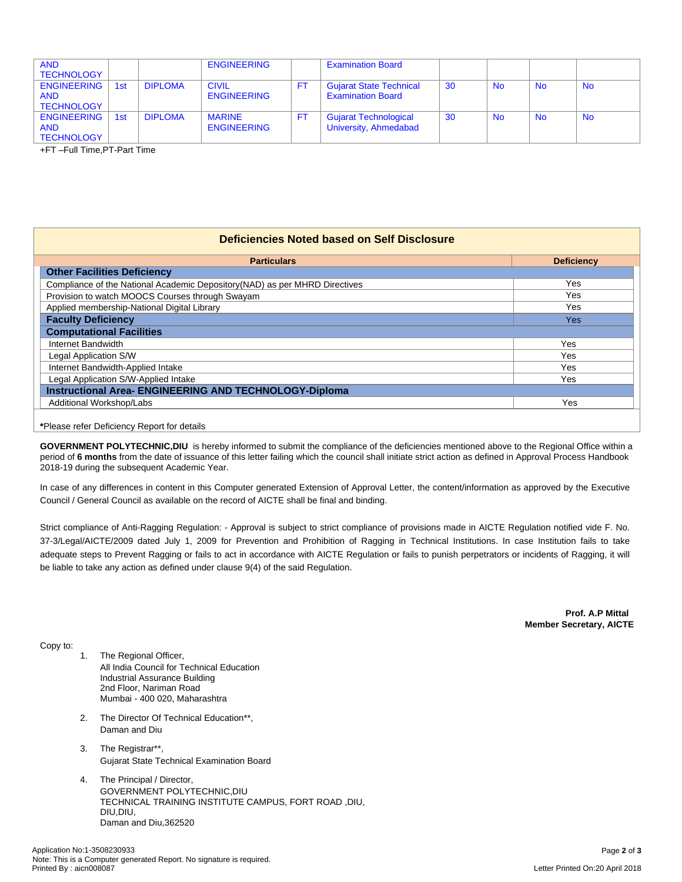| <b>AND</b><br><b>TECHNOLOGY</b>                       |     |                | <b>ENGINEERING</b>                  | <b>Examination Board</b>                                   |    |                |           |           |
|-------------------------------------------------------|-----|----------------|-------------------------------------|------------------------------------------------------------|----|----------------|-----------|-----------|
| <b>ENGINEERING</b><br><b>AND</b><br><b>TECHNOLOGY</b> | 1st | <b>DIPLOMA</b> | <b>CIVIL</b><br><b>ENGINEERING</b>  | <b>Gujarat State Technical</b><br><b>Examination Board</b> | 30 | <b>No</b>      | <b>No</b> | <b>No</b> |
| <b>ENGINEERING</b><br><b>AND</b><br><b>TECHNOLOGY</b> | 1st | <b>DIPLOMA</b> | <b>MARINE</b><br><b>ENGINEERING</b> | <b>Gujarat Technological</b><br>University, Ahmedabad      | 30 | N <sub>o</sub> | <b>No</b> | <b>No</b> |

+FT –Full Time,PT-Part Time

## **Deficiencies Noted based on Self Disclosure**

| <b>Particulars</b>                                                          | <b>Deficiency</b> |  |  |  |  |  |
|-----------------------------------------------------------------------------|-------------------|--|--|--|--|--|
| <b>Other Facilities Deficiency</b>                                          |                   |  |  |  |  |  |
| Compliance of the National Academic Depository (NAD) as per MHRD Directives | Yes               |  |  |  |  |  |
| Provision to watch MOOCS Courses through Swayam                             | Yes               |  |  |  |  |  |
| Applied membership-National Digital Library                                 | Yes               |  |  |  |  |  |
| <b>Faculty Deficiency</b>                                                   | <b>Yes</b>        |  |  |  |  |  |
| <b>Computational Facilities</b>                                             |                   |  |  |  |  |  |
| Internet Bandwidth                                                          | Yes               |  |  |  |  |  |
| Legal Application S/W                                                       | Yes               |  |  |  |  |  |
| Internet Bandwidth-Applied Intake                                           | Yes               |  |  |  |  |  |
| Legal Application S/W-Applied Intake                                        | Yes               |  |  |  |  |  |
| <b>Instructional Area- ENGINEERING AND TECHNOLOGY-Diploma</b>               |                   |  |  |  |  |  |
| Additional Workshop/Labs                                                    | Yes               |  |  |  |  |  |

## **\***Please refer Deficiency Report for details

**GOVERNMENT POLYTECHNIC,DIU** is hereby informed to submit the compliance of the deficiencies mentioned above to the Regional Office within a period of 6 months from the date of issuance of this letter failing which the council shall initiate strict action as defined in Approval Process Handbook 2018-19 during the subsequent Academic Year.

In case of any differences in content in this Computer generated Extension of Approval Letter, the content/information as approved by the Executive Council / General Council as available on the record of AICTE shall be final and binding.

Strict compliance of Anti-Ragging Regulation: - Approval is subject to strict compliance of provisions made in AICTE Regulation notified vide F. No. 37-3/Legal/AICTE/2009 dated July 1, 2009 for Prevention and Prohibition of Ragging in Technical Institutions. In case Institution fails to take adequate steps to Prevent Ragging or fails to act in accordance with AICTE Regulation or fails to punish perpetrators or incidents of Ragging, it will be liable to take any action as defined under clause 9(4) of the said Regulation.

> **Prof. A.P Mittal Member Secretary, AICTE**

Copy to:

- 1. The Regional Officer, All India Council for Technical Education Industrial Assurance Building 2nd Floor, Nariman Road Mumbai - 400 020, Maharashtra
- 2. The Director Of Technical Education\*\*, Daman and Diu
- 3. The Registrar\*\*, Gujarat State Technical Examination Board
- 4. The Principal / Director, GOVERNMENT POLYTECHNIC,DIU TECHNICAL TRAINING INSTITUTE CAMPUS, FORT ROAD ,DIU, DIU,DIU, Daman and Diu,362520